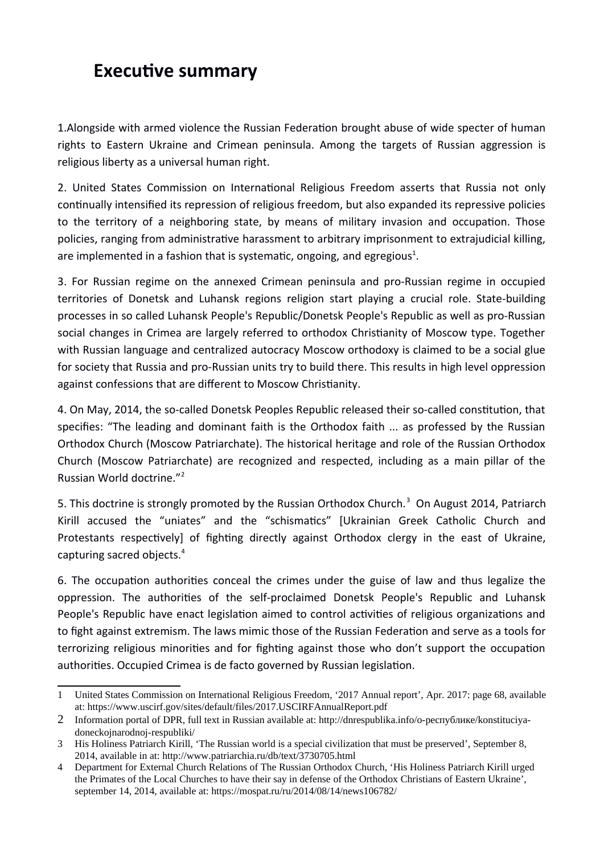## **Executive summary**

1.Alongside with armed violence the Russian Federation brought abuse of wide specter of human rights to Eastern Ukraine and Crimean peninsula. Among the targets of Russian aggression is religious liberty as a universal human right.

2. United States Commission on International Religious Freedom asserts that Russia not only continually intensified its repression of religious freedom, but also expanded its repressive policies to the territory of a neighboring state, by means of military invasion and occupation. Those policies, ranging from administrative harassment to arbitrary imprisonment to extrajudicial killing, are implemented in a fashion that is systematic, ongoing, and egregious<sup>[1](#page-0-0)</sup>.

3. For Russian regime on the annexed Crimean peninsula and pro-Russian regime in occupied territories of Donetsk and Luhansk regions religion start playing a crucial role. State-building processes in so called Luhansk People's Republic/Donetsk People's Republic as well as pro-Russian social changes in Crimea are largely referred to orthodox Christianity of Moscow type. Together with Russian language and centralized autocracy Moscow orthodoxy is claimed to be a social glue for society that Russia and pro-Russian units try to build there. This results in high level oppression against confessions that are different to Moscow Christianity.

4. On May, 2014, the so-called Donetsk Peoples Republic released their so-called constitution, that specifies: "The leading and dominant faith is the Orthodox faith ... as professed by the Russian Orthodox Church (Moscow Patriarchate). The historical heritage and role of the Russian Orthodox Church (Moscow Patriarchate) are recognized and respected, including as a main pillar of the Russian World doctrine."[2](#page-0-1)

5. This doctrine is strongly promoted by the Russian Orthodox Church.<sup>[3](#page-0-2)</sup> On August 2014, Patriarch Kirill accused the "uniates" and the "schismatics" [Ukrainian Greek Catholic Church and Protestants respectively] of fighting directly against Orthodox clergy in the east of Ukraine, capturing sacred objects.[4](#page-0-3)

6. The occupation authorities conceal the crimes under the guise of law and thus legalize the oppression. The authorities of the self-proclaimed Donetsk People's Republic and Luhansk People's Republic have enact legislation aimed to control activities of religious organizations and to fight against extremism. The laws mimic those of the Russian Federation and serve as a tools for terrorizing religious minorities and for fighting against those who don't support the occupation authorities. Occupied Crimea is de facto governed by Russian legislation.

<span id="page-0-0"></span><sup>1</sup> United States Commission on International Religious Freedom, '2017 Annual report', Apr. 2017: page 68, available at: https://www.uscirf.gov/sites/default/files/2017.USCIRFAnnualReport.pdf

<span id="page-0-1"></span><sup>2</sup> Information portal of DPR, full text in Russian available at: http://dnrespublika.info/о-республике/konstituciyadoneckojnarodnoj-respubliki/

<span id="page-0-2"></span><sup>3</sup> His Holiness Patriarch Kirill, 'The Russian world is a special civilization that must be preserved', September 8, 2014, available in at: http://www.patriarchia.ru/db/text/3730705.html

<span id="page-0-3"></span><sup>4</sup> Department for External Church Relations of The Russian Orthodox Church, 'His Holiness Patriarch Kirill urged the Primates of the Local Churches to have their say in defense of the Orthodox Christians of Eastern Ukraine', september 14, 2014, available at: https://mospat.ru/ru/2014/08/14/news106782/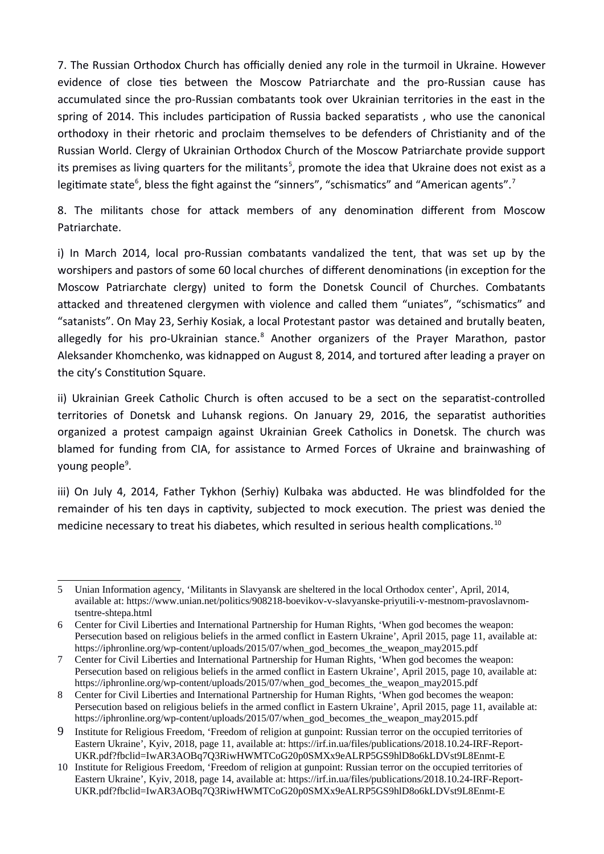7. The Russian Orthodox Church has officially denied any role in the turmoil in Ukraine. However evidence of close ties between the Moscow Patriarchate and the pro-Russian cause has accumulated since the pro-Russian combatants took over Ukrainian territories in the east in the spring of 2014. This includes participation of Russia backed separatists , who use the canonical orthodoxy in their rhetoric and proclaim themselves to be defenders of Christianity and of the Russian World. Clergy of Ukrainian Orthodox Church of the Moscow Patriarchate provide support its premises as living quarters for the militants<sup>[5](#page-1-0)</sup>, promote the idea that Ukraine does not exist as a legitimate state<sup>[6](#page-1-1)</sup>, bless the fight against the "sinners", "schismatics" and "American agents".<sup>[7](#page-1-2)</sup>

8. The militants chose for attack members of any denomination different from Moscow Patriarchate.

i) In March 2014, local pro-Russian combatants vandalized the tent, that was set up by the worshipers and pastors of some 60 local churches of different denominations (in exception for the Moscow Patriarchate clergy) united to form the Donetsk Council of Churches. Combatants attacked and threatened clergymen with violence and called them "uniates", "schismatics" and "satanists". On May 23, Serhiy Kosiak, a local Protestant pastor was detained and brutally beaten, allegedly for his pro-Ukrainian stance.<sup>[8](#page-1-3)</sup> Another organizers of the Prayer Marathon, pastor Aleksander Khomchenko, was kidnapped on August 8, 2014, and tortured after leading a prayer on the city's Constitution Square.

ii) Ukrainian Greek Catholic Church is often accused to be a sect on the separatist-controlled territories of Donetsk and Luhansk regions. On January 29, 2016, the separatist authorities organized a protest campaign against Ukrainian Greek Catholics in Donetsk. The church was blamed for funding from CIA, for assistance to Armed Forces of Ukraine and brainwashing of young people<sup>[9](#page-1-4)</sup>.

iii) On July 4, 2014, Father Tykhon (Serhiy) Kulbaka was abducted. He was blindfolded for the remainder of his ten days in captivity, subjected to mock execution. The priest was denied the medicine necessary to treat his diabetes, which resulted in serious health complications.<sup>[10](#page-1-5)</sup>

<span id="page-1-0"></span><sup>5</sup> Unian Information agency, 'Militants in Slavyansk are sheltered in the local Orthodox center', April, 2014, available at: https://www.unian.net/politics/908218-boevikov-v-slavyanske-priyutili-v-mestnom-pravoslavnomtsentre-shtepa.html

<span id="page-1-1"></span><sup>6</sup> Center for Civil Liberties and International Partnership for Human Rights, 'When god becomes the weapon: Persecution based on religious beliefs in the armed conflict in Eastern Ukraine', April 2015, page 11, available at: https://iphronline.org/wp-content/uploads/2015/07/when\_god\_becomes\_the\_weapon\_may2015.pdf

<span id="page-1-2"></span><sup>7</sup> Center for Civil Liberties and International Partnership for Human Rights, 'When god becomes the weapon: Persecution based on religious beliefs in the armed conflict in Eastern Ukraine', April 2015, page 10, available at: https://iphronline.org/wp-content/uploads/2015/07/when\_god\_becomes\_the\_weapon\_may2015.pdf

<span id="page-1-3"></span><sup>8</sup> Center for Civil Liberties and International Partnership for Human Rights, 'When god becomes the weapon: Persecution based on religious beliefs in the armed conflict in Eastern Ukraine', April 2015, page 11, available at: https://iphronline.org/wp-content/uploads/2015/07/when\_god\_becomes\_the\_weapon\_may2015.pdf

<span id="page-1-4"></span><sup>9</sup> Institute for Religious Freedom, 'Freedom of religion at gunpoint: Russian terror on the occupied territories of Eastern Ukraine', Kyiv, 2018, page 11, available at: https://irf.in.ua/files/publications/2018.10.24-IRF-Report-UKR.pdf?fbclid=IwAR3AOBq7Q3RiwHWMTCoG20p0SMXx9eALRP5GS9hlD8o6kLDVst9L8Enmt-E

<span id="page-1-5"></span><sup>10</sup> Institute for Religious Freedom, 'Freedom of religion at gunpoint: Russian terror on the occupied territories of Eastern Ukraine', Kyiv, 2018, page 14, available at: https://irf.in.ua/files/publications/2018.10.24-IRF-Report-UKR.pdf?fbclid=IwAR3AOBq7Q3RiwHWMTCoG20p0SMXx9eALRP5GS9hlD8o6kLDVst9L8Enmt-E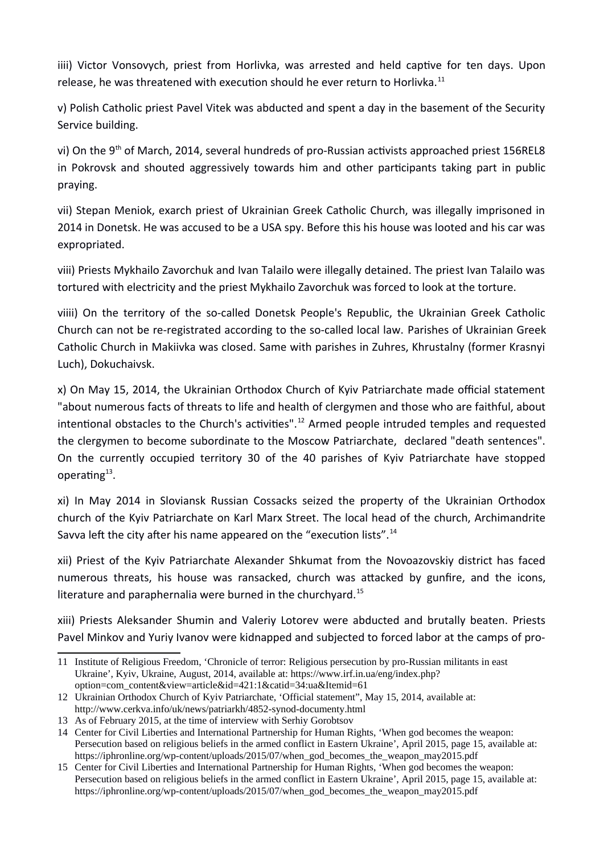iiii) Victor Vonsovych, priest from Horlivka, was arrested and held captive for ten days. Upon release, he was threatened with execution should he ever return to Horlivka.<sup>[11](#page-2-0)</sup>

v) Polish Catholic priest Pavel Vitek was abducted and spent a day in the basement of the Security Service building.

vi) On the 9<sup>th</sup> of March, 2014, several hundreds of pro-Russian activists approached priest 156REL8 in Pokrovsk and shouted aggressively towards him and other participants taking part in public praying.

vii) Stepan Meniok, exarch priest of Ukrainian Greek Catholic Church, was illegally imprisoned in 2014 in Donetsk. He was accused to be a USA spy. Before this his house was looted and his car was expropriated.

viii) Priests Mykhailo Zavorchuk and Ivan Talailo were illegally detained. The priest Ivan Talailo was tortured with electricity and the priest Mykhailo Zavorchuk was forced to look at the torture.

viiii) On the territory of the so-called Donetsk People's Republic, the Ukrainian Greek Catholic Church can not be re-registrated according to the so-called local law. Parishes of Ukrainian Greek Catholic Church in Makiivka was closed. Same with parishes in Zuhres, Khrustalny (former Krasnyi Luch), Dokuchaivsk.

x) On May 15, 2014, the Ukrainian Orthodox Church of Kyiv Patriarchate made official statement "about numerous facts of threats to life and health of clergymen and those who are faithful, about intentional obstacles to the Church's activities".<sup>[12](#page-2-1)</sup> Armed people intruded temples and requested the clergymen to become subordinate to the Moscow Patriarchate, declared "death sentences". On the currently occupied territory 30 of the 40 parishes of Kyiv Patriarchate have stopped operating $^{13}$  $^{13}$  $^{13}$ .

xi) In May 2014 in Sloviansk Russian Cossacks seized the property of the Ukrainian Orthodox church of the Kyiv Patriarchate on Karl Marx Street. The local head of the church, Archimandrite Savva left the city after his name appeared on the "execution lists".<sup>[14](#page-2-3)</sup>

xii) Priest of the Kyiv Patriarchate Alexander Shkumat from the Novoazovskiy district has faced numerous threats, his house was ransacked, church was attacked by gunfire, and the icons, literature and paraphernalia were burned in the churchyard. $^{15}$  $^{15}$  $^{15}$ 

xiii) Priests Aleksander Shumin and Valeriy Lotorev were abducted and brutally beaten. Priests Pavel Minkov and Yuriy Ivanov were kidnapped and subjected to forced labor at the camps of pro-

<span id="page-2-0"></span><sup>11</sup> Institute of Religious Freedom, 'Chronicle of terror: Religious persecution by pro-Russian militants in east Ukraine', Kyiv, Ukraine, August, 2014, available at: https://www.irf.in.ua/eng/index.php? option=com\_content&view=article&id=421:1&catid=34:ua&Itemid=61

<span id="page-2-1"></span><sup>12</sup> Ukrainian Orthodox Church of Kyiv Patriarchate, 'Official statement", May 15, 2014, available at: http://www.cerkva.info/uk/news/patriarkh/4852-synod-documenty.html

<span id="page-2-2"></span><sup>13</sup> As of February 2015, at the time of interview with Serhiy Gorobtsov

<span id="page-2-3"></span><sup>14</sup> Center for Civil Liberties and International Partnership for Human Rights, 'When god becomes the weapon: Persecution based on religious beliefs in the armed conflict in Eastern Ukraine', April 2015, page 15, available at: https://iphronline.org/wp-content/uploads/2015/07/when\_god\_becomes\_the\_weapon\_may2015.pdf

<span id="page-2-4"></span><sup>15</sup> Center for Civil Liberties and International Partnership for Human Rights, 'When god becomes the weapon: Persecution based on religious beliefs in the armed conflict in Eastern Ukraine', April 2015, page 15, available at: https://iphronline.org/wp-content/uploads/2015/07/when\_god\_becomes\_the\_weapon\_may2015.pdf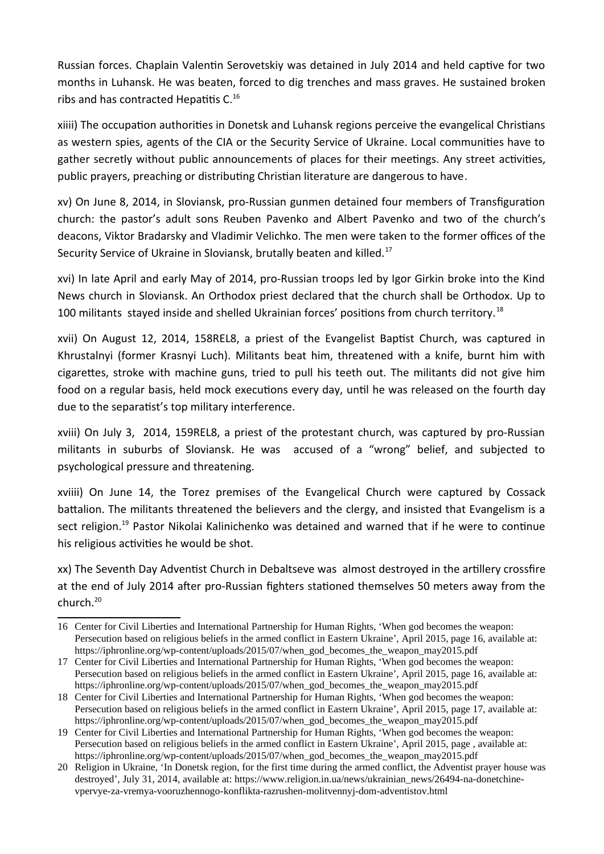Russian forces. Chaplain Valentin Serovetskiy was detained in July 2014 and held captive for two months in Luhansk. He was beaten, forced to dig trenches and mass graves. He sustained broken ribs and has contracted Hepatitis C.<sup>[16](#page-3-0)</sup>

xiiii) The occupation authorities in Donetsk and Luhansk regions perceive the evangelical Christians as western spies, agents of the CIA or the Security Service of Ukraine. Local communities have to gather secretly without public announcements of places for their meetings. Any street activities, public prayers, preaching or distributing Christian literature are dangerous to have.

xv) On June 8, 2014, in Sloviansk, pro-Russian gunmen detained four members of Transfiguration church: the pastor's adult sons Reuben Pavenko and Albert Pavenko and two of the church's deacons, Viktor Bradarsky and Vladimir Velichko. The men were taken to the former offices of the Security Service of Ukraine in Sloviansk, brutally beaten and killed.<sup>[17](#page-3-1)</sup>

xvi) In late April and early May of 2014, pro-Russian troops led by Igor Girkin broke into the Kind News church in Sloviansk. An Orthodox priest declared that the church shall be Orthodox. Up to 100 militants stayed inside and shelled Ukrainian forces' positions from church territory.<sup>[18](#page-3-2)</sup>

xvii) On August 12, 2014, 158REL8, a priest of the Evangelist Baptist Church, was captured in Khrustalnyi (former Krasnyi Luch). Militants beat him, threatened with a knife, burnt him with cigarettes, stroke with machine guns, tried to pull his teeth out. The militants did not give him food on a regular basis, held mock executions every day, until he was released on the fourth day due to the separatist's top military interference.

xviii) On July 3, 2014, 159REL8, a priest of the protestant church, was captured by pro-Russian militants in suburbs of Sloviansk. He was accused of a "wrong" belief, and subjected to psychological pressure and threatening.

xviiii) On June 14, the Torez premises of the Evangelical Church were captured by Cossack battalion. The militants threatened the believers and the clergy, and insisted that Evangelism is a sect religion.<sup>[19](#page-3-3)</sup> Pastor Nikolai Kalinichenko was detained and warned that if he were to continue his religious activities he would be shot.

xx) The Seventh Day Adventist Church in Debaltseve was almost destroyed in the artillery crossfire at the end of July 2014 after pro-Russian fighters stationed themselves 50 meters away from the church. $^{20}$  $^{20}$  $^{20}$ 

<span id="page-3-0"></span><sup>16</sup> Center for Civil Liberties and International Partnership for Human Rights, 'When god becomes the weapon: Persecution based on religious beliefs in the armed conflict in Eastern Ukraine', April 2015, page 16, available at: https://iphronline.org/wp-content/uploads/2015/07/when\_god\_becomes\_the\_weapon\_may2015.pdf

<span id="page-3-1"></span><sup>17</sup> Center for Civil Liberties and International Partnership for Human Rights, 'When god becomes the weapon: Persecution based on religious beliefs in the armed conflict in Eastern Ukraine', April 2015, page 16, available at: https://iphronline.org/wp-content/uploads/2015/07/when\_god\_becomes\_the\_weapon\_may2015.pdf

<span id="page-3-2"></span><sup>18</sup> Center for Civil Liberties and International Partnership for Human Rights, 'When god becomes the weapon: Persecution based on religious beliefs in the armed conflict in Eastern Ukraine', April 2015, page 17, available at: https://iphronline.org/wp-content/uploads/2015/07/when\_god\_becomes\_the\_weapon\_may2015.pdf

<span id="page-3-3"></span><sup>19</sup> Center for Civil Liberties and International Partnership for Human Rights, 'When god becomes the weapon: Persecution based on religious beliefs in the armed conflict in Eastern Ukraine', April 2015, page , available at: https://iphronline.org/wp-content/uploads/2015/07/when\_god\_becomes\_the\_weapon\_may2015.pdf

<span id="page-3-4"></span><sup>20</sup> Religion in Ukraine, 'In Donetsk region, for the first time during the armed conflict, the Adventist prayer house was destroyed', July 31, 2014, available at: https://www.religion.in.ua/news/ukrainian\_news/26494-na-donetchinevpervye-za-vremya-vooruzhennogo-konflikta-razrushen-molitvennyj-dom-adventistov.html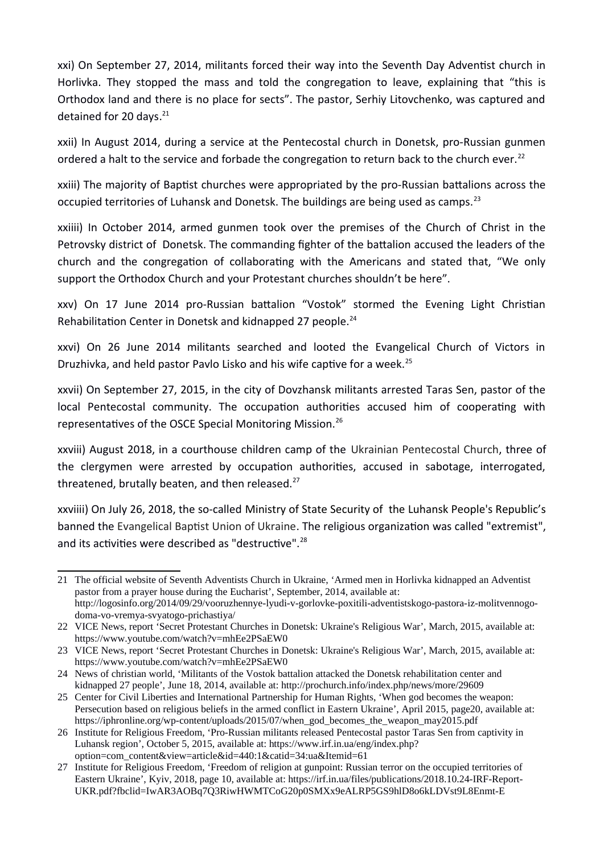xxi) On September 27, 2014, militants forced their way into the Seventh Day Adventist church in Horlivka. They stopped the mass and told the congregation to leave, explaining that "this is Orthodox land and there is no place for sects". The pastor, Serhiy Litovchenko, was captured and detained for 20 days.<sup>[21](#page-4-0)</sup>

xxii) In August 2014, during a service at the Pentecostal church in Donetsk, pro-Russian gunmen ordered a halt to the service and forbade the congregation to return back to the church ever.<sup>[22](#page-4-1)</sup>

xxiii) The majority of Baptist churches were appropriated by the pro-Russian battalions across the occupied territories of Luhansk and Donetsk. The buildings are being used as camps.<sup>[23](#page-4-2)</sup>

xxiiii) In October 2014, armed gunmen took over the premises of the Church of Christ in the Petrovsky district of Donetsk. The commanding fighter of the battalion accused the leaders of the church and the congregation of collaborating with the Americans and stated that, "We only support the Orthodox Church and your Protestant churches shouldn't be here".

xxv) On 17 June 2014 pro-Russian battalion "Vostok" stormed the Evening Light Christian Rehabilitation Center in Donetsk and kidnapped 27 people.<sup>[24](#page-4-3)</sup>

xxvi) On 26 June 2014 militants searched and looted the Evangelical Church of Victors in Druzhivka, and held pastor Pavlo Lisko and his wife captive for a week.<sup>[25](#page-4-4)</sup>

xxvii) On September 27, 2015, in the city of Dovzhansk militants arrested Taras Sen, pastor of the local Pentecostal community. The occupation authorities accused him of cooperating with representatives of the OSCE Special Monitoring Mission.[26](#page-4-5)

xxviii) August 2018, in a courthouse children camp of the Ukrainian Pentecostal Church, three of the clergymen were arrested by occupation authorities, accused in sabotage, interrogated, threatened, brutally beaten, and then released. $^{27}$  $^{27}$  $^{27}$ 

xxviiii) On July 26, 2018, the so-called Ministry of State Security of the Luhansk People's Republic's banned the Evangelical Baptist Union of Ukraine. The religious organization was called "extremist", and its activities were described as "destructive".<sup>28</sup>

<span id="page-4-0"></span><sup>21</sup> The official website of Seventh Adventists Church in Ukraine, 'Armed men in Horlivka kidnapped an Adventist pastor from a prayer house during the Eucharist', September, 2014, available at: http://logosinfo.org/2014/09/29/vooruzhennye-lyudi-v-gorlovke-poxitili-adventistskogo-pastora-iz-molitvennogodoma-vo-vremya-svyatogo-prichastiya/

<span id="page-4-1"></span><sup>22</sup> VICE News, report 'Secret Protestant Churches in Donetsk: Ukraine's Religious War', March, 2015, available at: https://www.youtube.com/watch?v=mhEe2PSaEW0

<span id="page-4-2"></span><sup>23</sup> VICE News, report 'Secret Protestant Churches in Donetsk: Ukraine's Religious War', March, 2015, available at: https://www.youtube.com/watch?v=mhEe2PSaEW0

<span id="page-4-3"></span><sup>24</sup> News of christian world, 'Militants of the Vostok battalion attacked the Donetsk rehabilitation center and kidnapped 27 people', June 18, 2014, available at: http://prochurch.info/index.php/news/more/29609

<span id="page-4-4"></span><sup>25</sup> Center for Civil Liberties and International Partnership for Human Rights, 'When god becomes the weapon: Persecution based on religious beliefs in the armed conflict in Eastern Ukraine', April 2015, page20, available at: https://iphronline.org/wp-content/uploads/2015/07/when\_god\_becomes\_the\_weapon\_may2015.pdf

<span id="page-4-5"></span><sup>26</sup> Institute for Religious Freedom, 'Pro-Russian militants released Pentecostal pastor Taras Sen from captivity in Luhansk region', October 5, 2015, available at: https://www.irf.in.ua/eng/index.php? option=com\_content&view=article&id=440:1&catid=34:ua&Itemid=61

<span id="page-4-6"></span><sup>27</sup> Institute for Religious Freedom, 'Freedom of religion at gunpoint: Russian terror on the occupied territories of Eastern Ukraine', Kyiv, 2018, page 10, available at: https://irf.in.ua/files/publications/2018.10.24-IRF-Report-UKR.pdf?fbclid=IwAR3AOBq7Q3RiwHWMTCoG20p0SMXx9eALRP5GS9hlD8o6kLDVst9L8Enmt-E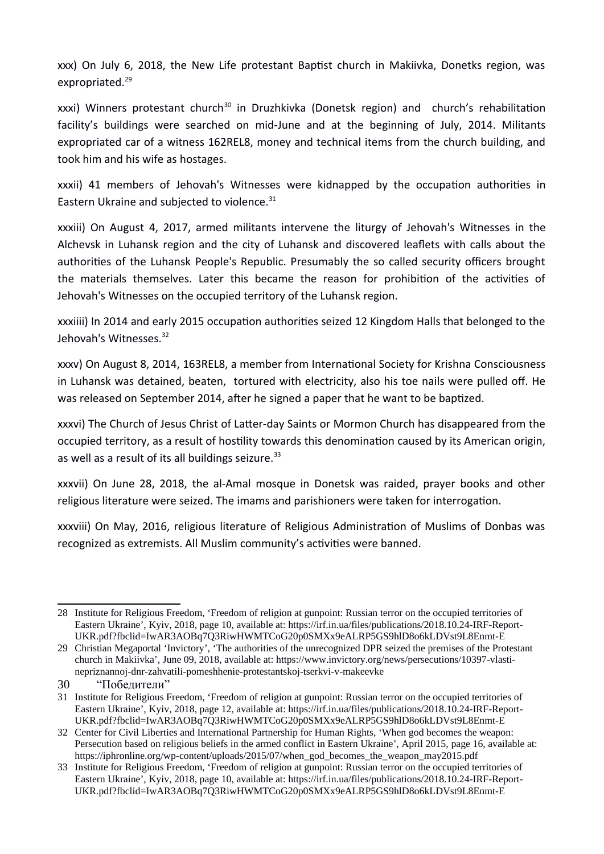xxx) On July 6, 2018, the New Life protestant Baptist church in Makiivka, Donetks region, was expropriated.<sup>[29](#page-5-0)</sup>

 $xxxi)$  Winners protestant church<sup>[30](#page-5-1)</sup> in Druzhkivka (Donetsk region) and church's rehabilitation facility's buildings were searched on mid-June and at the beginning of July, 2014. Militants expropriated car of a witness 162REL8, money and technical items from the church building, and took him and his wife as hostages.

xxxii) 41 members of Jehovah's Witnesses were kidnapped by the occupation authorities in Eastern Ukraine and subjected to violence.<sup>[31](#page-5-2)</sup>

xxxiii) On August 4, 2017, armed militants intervene the liturgy of Jehovah's Witnesses in the Alchevsk in Luhansk region and the city of Luhansk and discovered leaflets with calls about the authorities of the Luhansk People's Republic. Presumably the so called security officers brought the materials themselves. Later this became the reason for prohibition of the activities of Jehovah's Witnesses on the occupied territory of the Luhansk region.

xxxiiii) In 2014 and early 2015 occupation authorities seized 12 Kingdom Halls that belonged to the Jehovah's Witnesses.<sup>[32](#page-5-3)</sup>

xxxv) On August 8, 2014, 163REL8, a member from International Society for Krishna Consciousness in Luhansk was detained, beaten, tortured with electricity, also his toe nails were pulled off. He was released on September 2014, after he signed a paper that he want to be baptized.

xxxvi) The Church of Jesus Christ of Latter-day Saints or Mormon Church has disappeared from the occupied territory, as a result of hostility towards this denomination caused by its American origin, as well as a result of its all buildings seizure.<sup>[33](#page-5-4)</sup>

xxxvii) On June 28, 2018, the al-Amal mosque in Donetsk was raided, prayer books and other religious literature were seized. The imams and parishioners were taken for interrogation.

xxxviii) On May, 2016, religious literature of Religious Administration of Muslims of Donbas was recognized as extremists. All Muslim community's activities were banned.

<sup>28</sup> Institute for Religious Freedom, 'Freedom of religion at gunpoint: Russian terror on the occupied territories of Eastern Ukraine', Kyiv, 2018, page 10, available at: https://irf.in.ua/files/publications/2018.10.24-IRF-Report-UKR.pdf?fbclid=IwAR3AOBq7Q3RiwHWMTCoG20p0SMXx9eALRP5GS9hlD8o6kLDVst9L8Enmt-E

<span id="page-5-0"></span><sup>29</sup> Christian Megaportal 'Invictory', 'The authorities of the unrecognized DPR seized the premises of the Protestant church in Makiivka', June 09, 2018, available at: https://www.invictory.org/news/persecutions/10397-vlastinepriznannoj-dnr-zahvatili-pomeshhenie-protestantskoj-tserkvi-v-makeevke

<span id="page-5-1"></span><sup>30</sup> "Победители"

<span id="page-5-2"></span><sup>31</sup> Institute for Religious Freedom, 'Freedom of religion at gunpoint: Russian terror on the occupied territories of Eastern Ukraine', Kyiv, 2018, page 12, available at: https://irf.in.ua/files/publications/2018.10.24-IRF-Report-UKR.pdf?fbclid=IwAR3AOBq7Q3RiwHWMTCoG20p0SMXx9eALRP5GS9hlD8o6kLDVst9L8Enmt-E

<span id="page-5-3"></span><sup>32</sup> Center for Civil Liberties and International Partnership for Human Rights, 'When god becomes the weapon: Persecution based on religious beliefs in the armed conflict in Eastern Ukraine', April 2015, page 16, available at: https://iphronline.org/wp-content/uploads/2015/07/when\_god\_becomes\_the\_weapon\_may2015.pdf

<span id="page-5-4"></span><sup>33</sup> Institute for Religious Freedom, 'Freedom of religion at gunpoint: Russian terror on the occupied territories of Eastern Ukraine', Kyiv, 2018, page 10, available at: https://irf.in.ua/files/publications/2018.10.24-IRF-Report-UKR.pdf?fbclid=IwAR3AOBq7Q3RiwHWMTCoG20p0SMXx9eALRP5GS9hlD8o6kLDVst9L8Enmt-E